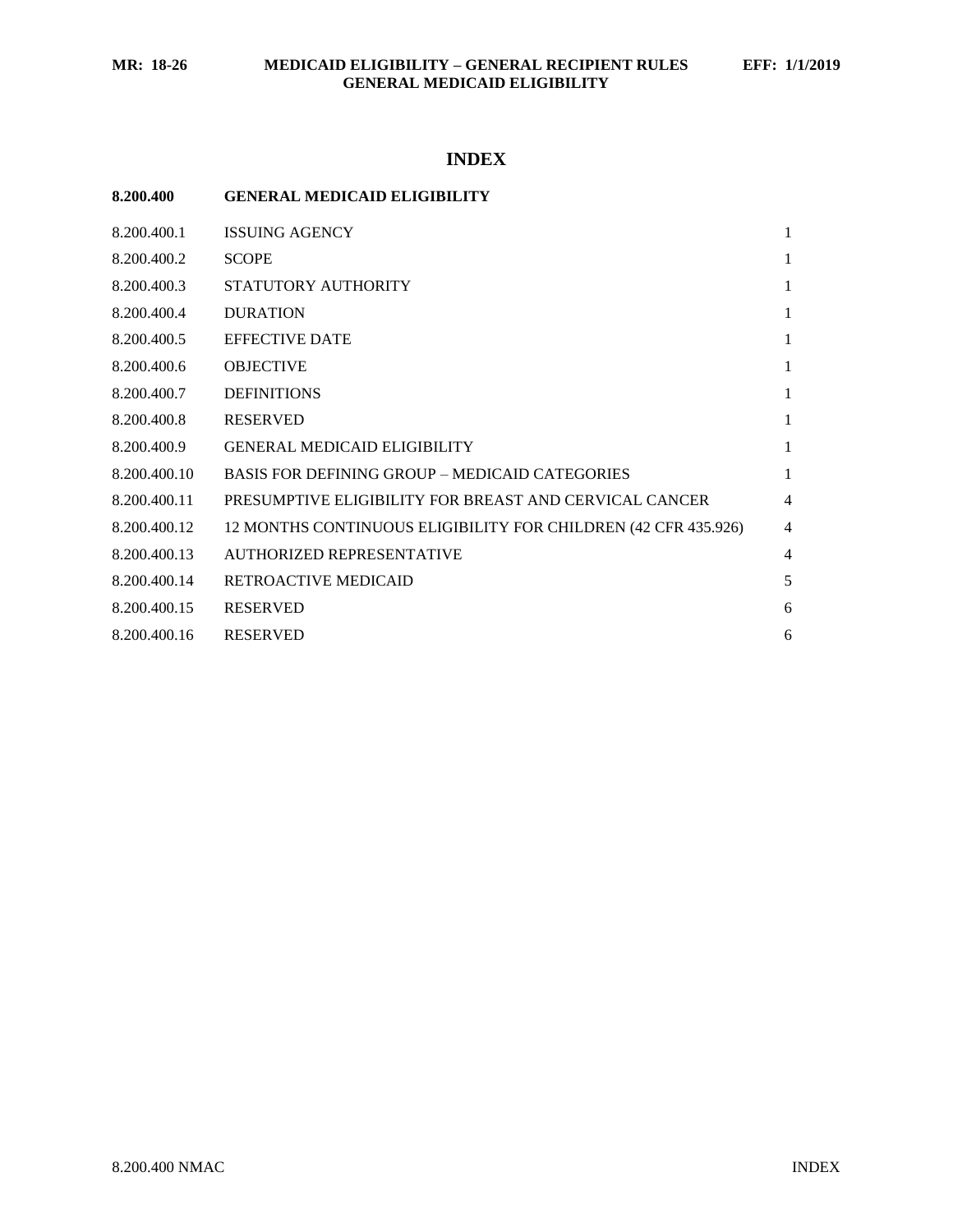# **INDEX**

| 8.200.400 | <b>GENERAL MEDICAID ELIGIBILITY</b> |  |
|-----------|-------------------------------------|--|
|           |                                     |  |

| 8.200.400.1  | <b>ISSUING AGENCY</b>                                          | 1              |
|--------------|----------------------------------------------------------------|----------------|
| 8.200.400.2  | <b>SCOPE</b>                                                   | 1              |
| 8.200.400.3  | STATUTORY AUTHORITY                                            | 1              |
| 8.200.400.4  | <b>DURATION</b>                                                | 1              |
| 8.200.400.5  | <b>EFFECTIVE DATE</b>                                          | 1              |
| 8.200.400.6  | <b>OBJECTIVE</b>                                               | 1              |
| 8.200.400.7  | <b>DEFINITIONS</b>                                             | 1              |
| 8.200.400.8  | <b>RESERVED</b>                                                | 1              |
| 8.200.400.9  | <b>GENERAL MEDICAID ELIGIBILITY</b>                            | 1              |
| 8.200.400.10 | <b>BASIS FOR DEFINING GROUP – MEDICAID CATEGORIES</b>          | $\mathbf{1}$   |
| 8.200.400.11 | PRESUMPTIVE ELIGIBILITY FOR BREAST AND CERVICAL CANCER         | $\overline{4}$ |
| 8.200.400.12 | 12 MONTHS CONTINUOUS ELIGIBILITY FOR CHILDREN (42 CFR 435.926) | $\overline{4}$ |
| 8.200.400.13 | <b>AUTHORIZED REPRESENTATIVE</b>                               | $\overline{4}$ |
| 8.200.400.14 | <b>RETROACTIVE MEDICAID</b>                                    | 5              |
| 8.200.400.15 | <b>RESERVED</b>                                                | 6              |
| 8.200.400.16 | <b>RESERVED</b>                                                | 6              |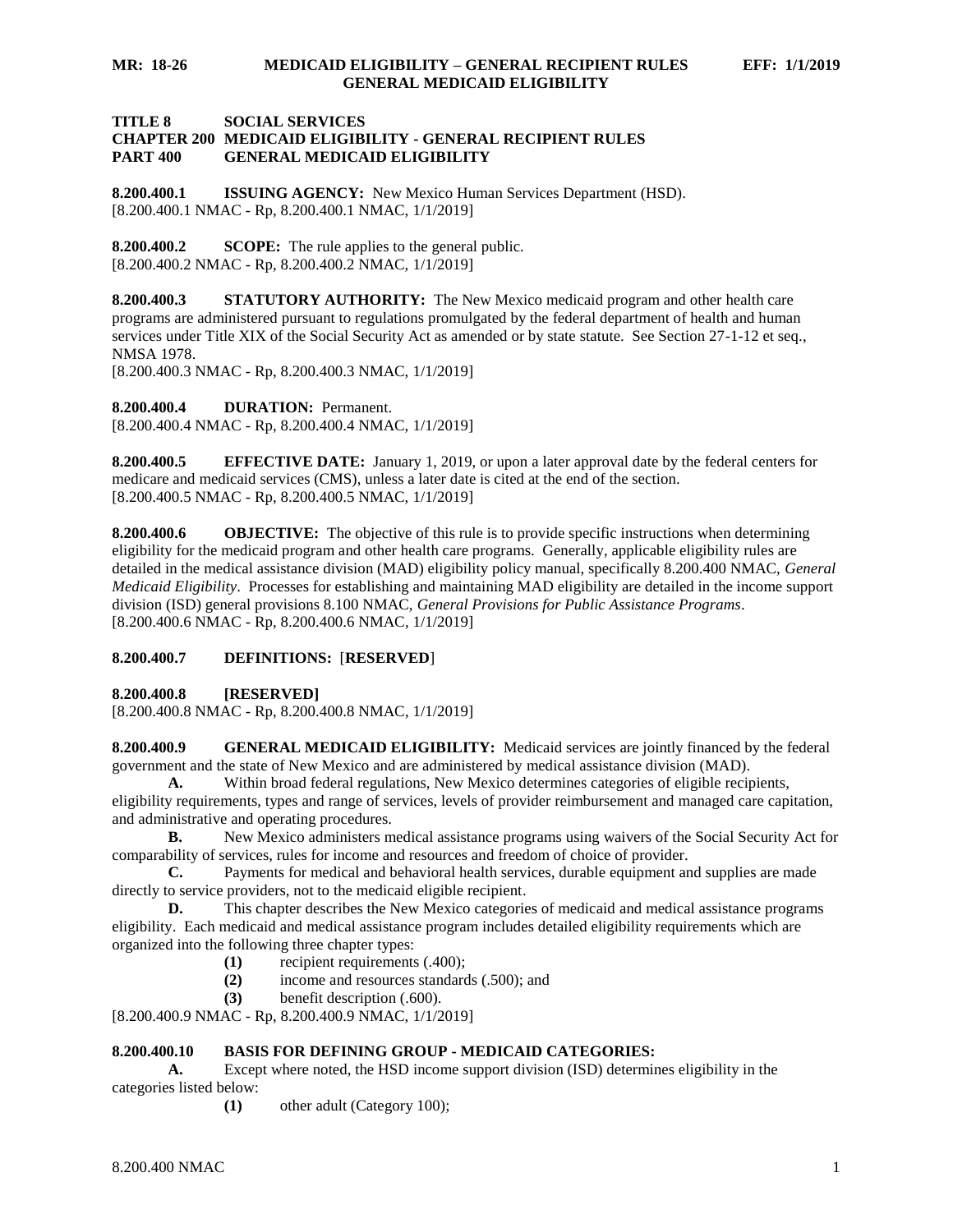#### **TITLE 8 SOCIAL SERVICES CHAPTER 200 MEDICAID ELIGIBILITY - GENERAL RECIPIENT RULES PART 400 GENERAL MEDICAID ELIGIBILITY**

<span id="page-1-0"></span>**8.200.400.1 ISSUING AGENCY:** New Mexico Human Services Department (HSD). [8.200.400.1 NMAC - Rp, 8.200.400.1 NMAC, 1/1/2019]

<span id="page-1-1"></span>**8.200.400.2 SCOPE:** The rule applies to the general public. [8.200.400.2 NMAC - Rp, 8.200.400.2 NMAC, 1/1/2019]

<span id="page-1-2"></span>**8.200.400.3 STATUTORY AUTHORITY:** The New Mexico medicaid program and other health care programs are administered pursuant to regulations promulgated by the federal department of health and human services under Title XIX of the Social Security Act as amended or by state statute. See Section 27-1-12 et seq., NMSA 1978.

[8.200.400.3 NMAC - Rp, 8.200.400.3 NMAC, 1/1/2019]

<span id="page-1-3"></span>**8.200.400.4 DURATION:** Permanent.

[8.200.400.4 NMAC - Rp, 8.200.400.4 NMAC, 1/1/2019]

<span id="page-1-4"></span>**8.200.400.5 EFFECTIVE DATE:** January 1, 2019, or upon a later approval date by the federal centers for medicare and medicaid services (CMS), unless a later date is cited at the end of the section. [8.200.400.5 NMAC - Rp, 8.200.400.5 NMAC, 1/1/2019]

<span id="page-1-5"></span>**8.200.400.6 OBJECTIVE:** The objective of this rule is to provide specific instructions when determining eligibility for the medicaid program and other health care programs. Generally, applicable eligibility rules are detailed in the medical assistance division (MAD) eligibility policy manual, specifically 8.200.400 NMAC, *General Medicaid Eligibility*. Processes for establishing and maintaining MAD eligibility are detailed in the income support division (ISD) general provisions 8.100 NMAC, *General Provisions for Public Assistance Programs*. [8.200.400.6 NMAC - Rp, 8.200.400.6 NMAC, 1/1/2019]

## <span id="page-1-6"></span>**8.200.400.7 DEFINITIONS:** [**RESERVED**]

<span id="page-1-7"></span>**8.200.400.8 [RESERVED]**

[8.200.400.8 NMAC - Rp, 8.200.400.8 NMAC, 1/1/2019]

<span id="page-1-8"></span>**8.200.400.9 GENERAL MEDICAID ELIGIBILITY:** Medicaid services are jointly financed by the federal government and the state of New Mexico and are administered by medical assistance division (MAD).

**A.** Within broad federal regulations, New Mexico determines categories of eligible recipients, eligibility requirements, types and range of services, levels of provider reimbursement and managed care capitation, and administrative and operating procedures.

**B.** New Mexico administers medical assistance programs using waivers of the Social Security Act for comparability of services, rules for income and resources and freedom of choice of provider.

**C.** Payments for medical and behavioral health services, durable equipment and supplies are made directly to service providers, not to the medicaid eligible recipient.

**D.** This chapter describes the New Mexico categories of medicaid and medical assistance programs eligibility. Each medicaid and medical assistance program includes detailed eligibility requirements which are organized into the following three chapter types:

- **(1)** recipient requirements (.400);
- **(2)** income and resources standards (.500); and
- **(3)** benefit description (.600).

[8.200.400.9 NMAC - Rp, 8.200.400.9 NMAC, 1/1/2019]

## <span id="page-1-9"></span>**8.200.400.10 BASIS FOR DEFINING GROUP - MEDICAID CATEGORIES:**

**A.** Except where noted, the HSD income support division (ISD) determines eligibility in the categories listed below:

**(1)** other adult (Category 100);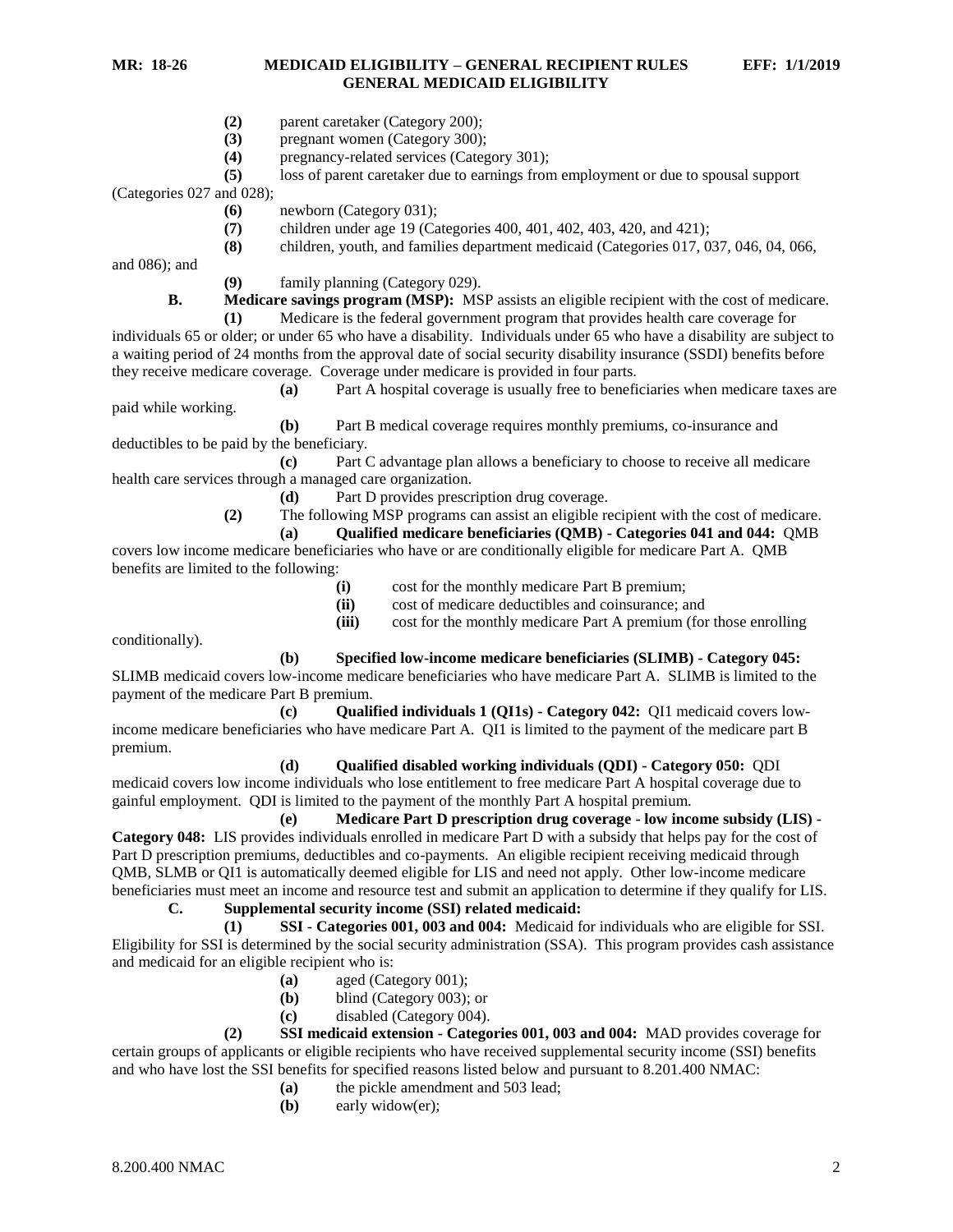- **(2)** parent caretaker (Category 200);
- **(3)** pregnant women (Category 300);
- **(4)** pregnancy-related services (Category 301);
- **(5)** loss of parent caretaker due to earnings from employment or due to spousal support

(Categories 027 and 028);

- **(6)** newborn (Category 031);
- **(7)** children under age 19 (Categories 400, 401, 402, 403, 420, and 421);
- **(8)** children, youth, and families department medicaid (Categories 017, 037, 046, 04, 066,

and 086); and

**(9)** family planning (Category 029).

**B. Medicare savings program (MSP):** MSP assists an eligible recipient with the cost of medicare.

**(1)** Medicare is the federal government program that provides health care coverage for individuals 65 or older; or under 65 who have a disability. Individuals under 65 who have a disability are subject to a waiting period of 24 months from the approval date of social security disability insurance (SSDI) benefits before they receive medicare coverage. Coverage under medicare is provided in four parts.

**(a)** Part A hospital coverage is usually free to beneficiaries when medicare taxes are paid while working.

**(b)** Part B medical coverage requires monthly premiums, co-insurance and deductibles to be paid by the beneficiary.

**(c)** Part C advantage plan allows a beneficiary to choose to receive all medicare health care services through a managed care organization.

**(d)** Part D provides prescription drug coverage.

**(2)** The following MSP programs can assist an eligible recipient with the cost of medicare.

**(a) Qualified medicare beneficiaries (QMB) - Categories 041 and 044:** QMB

covers low income medicare beneficiaries who have or are conditionally eligible for medicare Part A. QMB benefits are limited to the following:

**(i)** cost for the monthly medicare Part B premium;

**(ii)** cost of medicare deductibles and coinsurance; and

**(iii)** cost for the monthly medicare Part A premium (for those enrolling

conditionally).

**(b) Specified low-income medicare beneficiaries (SLIMB) - Category 045:**

SLIMB medicaid covers low-income medicare beneficiaries who have medicare Part A. SLIMB is limited to the payment of the medicare Part B premium.

**(c) Qualified individuals 1 (QI1s) - Category 042:** QI1 medicaid covers lowincome medicare beneficiaries who have medicare Part A. QI1 is limited to the payment of the medicare part B premium.

## **(d) Qualified disabled working individuals (QDI) - Category 050:** QDI

medicaid covers low income individuals who lose entitlement to free medicare Part A hospital coverage due to gainful employment. QDI is limited to the payment of the monthly Part A hospital premium.

**(e) Medicare Part D prescription drug coverage - low income subsidy (LIS) - Category 048:** LIS provides individuals enrolled in medicare Part D with a subsidy that helps pay for the cost of Part D prescription premiums, deductibles and co-payments. An eligible recipient receiving medicaid through QMB, SLMB or QI1 is automatically deemed eligible for LIS and need not apply. Other low-income medicare beneficiaries must meet an income and resource test and submit an application to determine if they qualify for LIS.

**C. Supplemental security income (SSI) related medicaid:**

**(1) SSI - Categories 001, 003 and 004:** Medicaid for individuals who are eligible for SSI. Eligibility for SSI is determined by the social security administration (SSA). This program provides cash assistance and medicaid for an eligible recipient who is:

- **(a)** aged (Category 001);
- **(b)** blind (Category 003); or
- **(c)** disabled (Category 004).

**(2) SSI medicaid extension - Categories 001, 003 and 004:** MAD provides coverage for certain groups of applicants or eligible recipients who have received supplemental security income (SSI) benefits and who have lost the SSI benefits for specified reasons listed below and pursuant to 8.201.400 NMAC:

- **(a)** the pickle amendment and 503 lead;
- **(b)** early widow(er);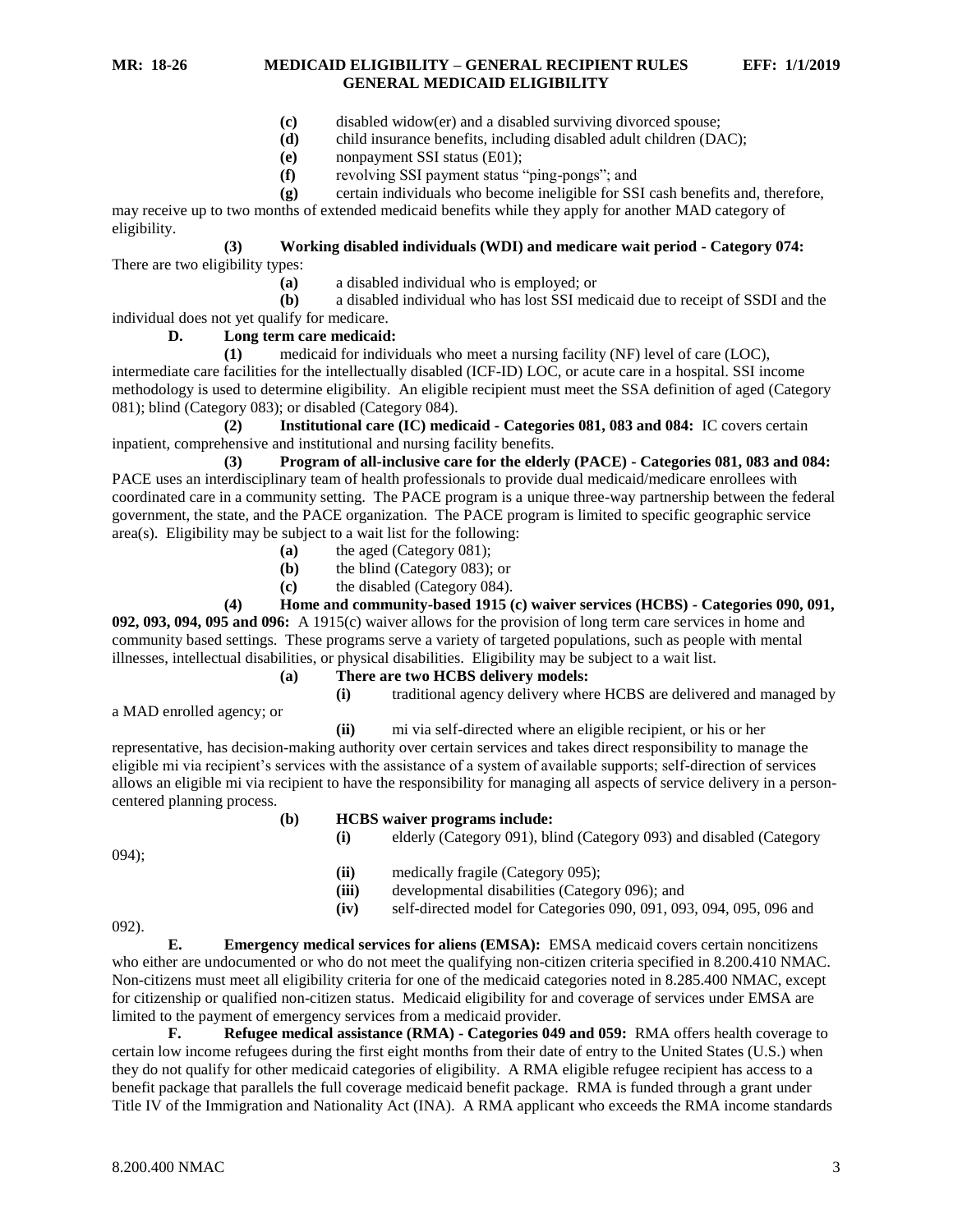- **(c)** disabled widow(er) and a disabled surviving divorced spouse;
- **(d)** child insurance benefits, including disabled adult children (DAC);
- **(e)** nonpayment SSI status (E01);
- **(f)** revolving SSI payment status "ping-pongs"; and
- **(g)** certain individuals who become ineligible for SSI cash benefits and, therefore,

may receive up to two months of extended medicaid benefits while they apply for another MAD category of eligibility.

#### **(3) Working disabled individuals (WDI) and medicare wait period - Category 074:** There are two eligibility types:

**(a)** a disabled individual who is employed; or

**(b)** a disabled individual who has lost SSI medicaid due to receipt of SSDI and the individual does not yet qualify for medicare.

## **D. Long term care medicaid:**

**(1)** medicaid for individuals who meet a nursing facility (NF) level of care (LOC), intermediate care facilities for the intellectually disabled (ICF-ID) LOC, or acute care in a hospital. SSI income methodology is used to determine eligibility. An eligible recipient must meet the SSA definition of aged (Category 081); blind (Category 083); or disabled (Category 084).

**(2) Institutional care (IC) medicaid - Categories 081, 083 and 084:** IC covers certain inpatient, comprehensive and institutional and nursing facility benefits.

**(3) Program of all-inclusive care for the elderly (PACE) - Categories 081, 083 and 084:** PACE uses an interdisciplinary team of health professionals to provide dual medicaid/medicare enrollees with coordinated care in a community setting. The PACE program is a unique three-way partnership between the federal government, the state, and the PACE organization. The PACE program is limited to specific geographic service area(s). Eligibility may be subject to a wait list for the following:

- **(a)** the aged (Category 081);
- **(b)** the blind (Category 083); or
- **(c)** the disabled (Category 084).

## **(4) Home and community-based 1915 (c) waiver services (HCBS) - Categories 090, 091,**

**092, 093, 094, 095 and 096:** A 1915(c) waiver allows for the provision of long term care services in home and community based settings. These programs serve a variety of targeted populations, such as people with mental illnesses, intellectual disabilities, or physical disabilities. Eligibility may be subject to a wait list.

- **(a) There are two HCBS delivery models:**
	-

**(i)** traditional agency delivery where HCBS are delivered and managed by

a MAD enrolled agency; or

**(ii)** mi via self-directed where an eligible recipient, or his or her

representative, has decision-making authority over certain services and takes direct responsibility to manage the eligible mi via recipient's services with the assistance of a system of available supports; self-direction of services allows an eligible mi via recipient to have the responsibility for managing all aspects of service delivery in a personcentered planning process.

## **(b) HCBS waiver programs include:**

**(i)** elderly (Category 091), blind (Category 093) and disabled (Category 094); **(ii)** medically fragile (Category 095); **(iii)** developmental disabilities (Category 096); and **(iv)** self-directed model for Categories 090, 091, 093, 094, 095, 096 and 092).

**E. Emergency medical services for aliens (EMSA):** EMSA medicaid covers certain noncitizens who either are undocumented or who do not meet the qualifying non-citizen criteria specified in 8.200.410 NMAC. Non-citizens must meet all eligibility criteria for one of the medicaid categories noted in 8.285.400 NMAC, except for citizenship or qualified non-citizen status. Medicaid eligibility for and coverage of services under EMSA are limited to the payment of emergency services from a medicaid provider.

**F. Refugee medical assistance (RMA) - Categories 049 and 059:** RMA offers health coverage to certain low income refugees during the first eight months from their date of entry to the United States (U.S.) when they do not qualify for other medicaid categories of eligibility. A RMA eligible refugee recipient has access to a benefit package that parallels the full coverage medicaid benefit package. RMA is funded through a grant under Title IV of the Immigration and Nationality Act (INA). A RMA applicant who exceeds the RMA income standards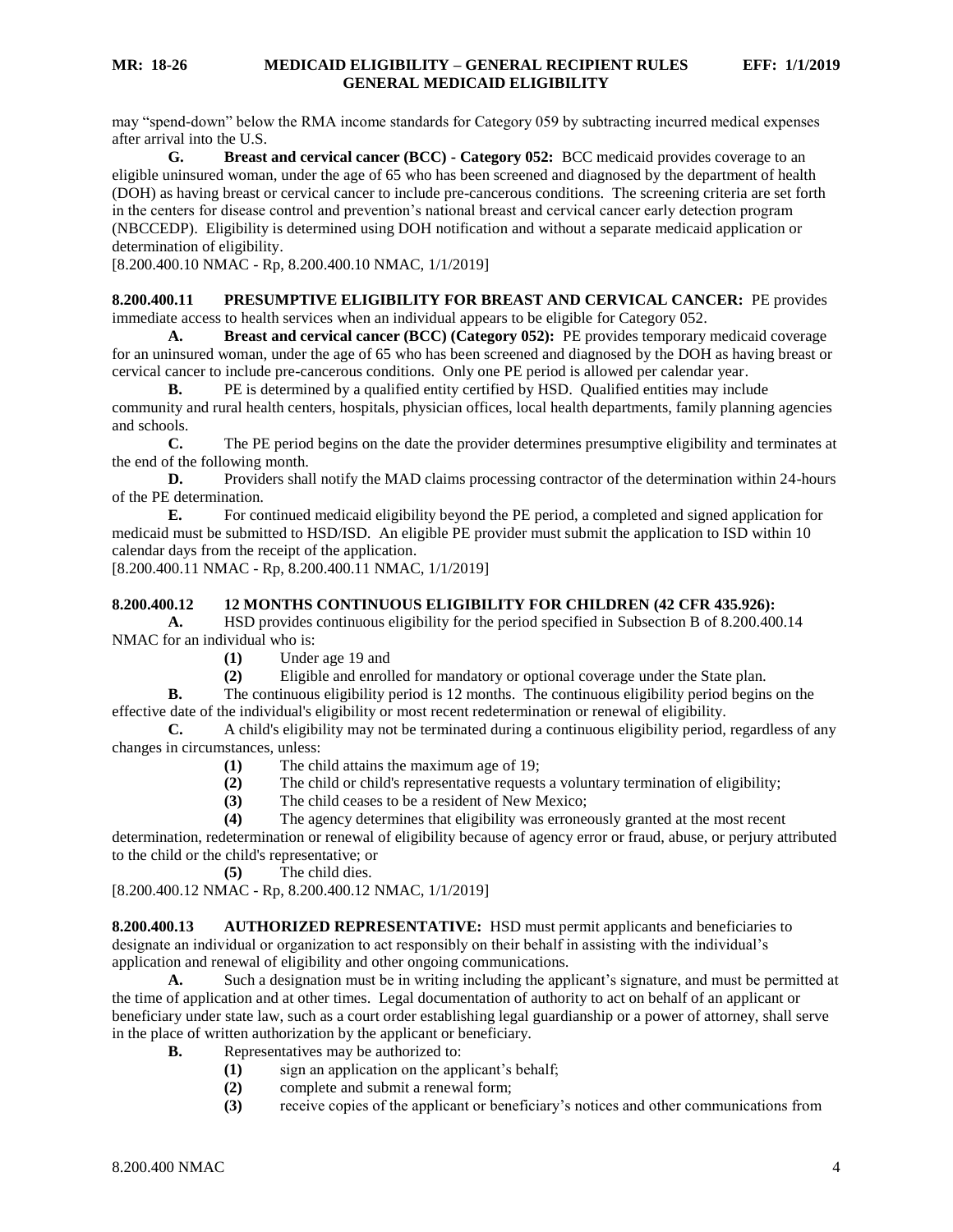may "spend-down" below the RMA income standards for Category 059 by subtracting incurred medical expenses after arrival into the U.S.

**G. Breast and cervical cancer (BCC) - Category 052:** BCC medicaid provides coverage to an eligible uninsured woman, under the age of 65 who has been screened and diagnosed by the department of health (DOH) as having breast or cervical cancer to include pre-cancerous conditions. The screening criteria are set forth in the centers for disease control and prevention's national breast and cervical cancer early detection program (NBCCEDP). Eligibility is determined using DOH notification and without a separate medicaid application or determination of eligibility.

[8.200.400.10 NMAC - Rp, 8.200.400.10 NMAC, 1/1/2019]

<span id="page-4-0"></span>**8.200.400.11 PRESUMPTIVE ELIGIBILITY FOR BREAST AND CERVICAL CANCER:** PE provides immediate access to health services when an individual appears to be eligible for Category 052.

**A. Breast and cervical cancer (BCC) (Category 052):** PE provides temporary medicaid coverage for an uninsured woman, under the age of 65 who has been screened and diagnosed by the DOH as having breast or cervical cancer to include pre-cancerous conditions. Only one PE period is allowed per calendar year.

**B.** PE is determined by a qualified entity certified by HSD. Qualified entities may include community and rural health centers, hospitals, physician offices, local health departments, family planning agencies and schools.

**C.** The PE period begins on the date the provider determines presumptive eligibility and terminates at the end of the following month.

**D.** Providers shall notify the MAD claims processing contractor of the determination within 24-hours of the PE determination.

**E.** For continued medicaid eligibility beyond the PE period, a completed and signed application for medicaid must be submitted to HSD/ISD. An eligible PE provider must submit the application to ISD within 10 calendar days from the receipt of the application.

[8.200.400.11 NMAC - Rp, 8.200.400.11 NMAC, 1/1/2019]

#### <span id="page-4-1"></span>**8.200.400.12 12 MONTHS CONTINUOUS ELIGIBILITY FOR CHILDREN (42 CFR 435.926):**

**A.** HSD provides continuous eligibility for the period specified in Subsection B of 8.200.400.14 NMAC for an individual who is:

- **(1)** Under age 19 and
- **(2)** Eligible and enrolled for mandatory or optional coverage under the State plan.

**B.** The continuous eligibility period is 12 months. The continuous eligibility period begins on the effective date of the individual's eligibility or most recent redetermination or renewal of eligibility.

**C.** A child's eligibility may not be terminated during a continuous eligibility period, regardless of any changes in circumstances, unless:

- **(1)** The child attains the maximum age of 19;
- **(2)** The child or child's representative requests a voluntary termination of eligibility;
- **(3)** The child ceases to be a resident of New Mexico;
- **(4)** The agency determines that eligibility was erroneously granted at the most recent

determination, redetermination or renewal of eligibility because of agency error or fraud, abuse, or perjury attributed to the child or the child's representative; or

**(5)** The child dies.

[8.200.400.12 NMAC - Rp, 8.200.400.12 NMAC, 1/1/2019]

<span id="page-4-2"></span>**8.200.400.13 AUTHORIZED REPRESENTATIVE:** HSD must permit applicants and beneficiaries to designate an individual or organization to act responsibly on their behalf in assisting with the individual's application and renewal of eligibility and other ongoing communications.

**A.** Such a designation must be in writing including the applicant's signature, and must be permitted at the time of application and at other times. Legal documentation of authority to act on behalf of an applicant or beneficiary under state law, such as a court order establishing legal guardianship or a power of attorney, shall serve in the place of written authorization by the applicant or beneficiary.

- **B.** Representatives may be authorized to:
	- **(1)** sign an application on the applicant's behalf;
	- **(2)** complete and submit a renewal form;
	- **(3)** receive copies of the applicant or beneficiary's notices and other communications from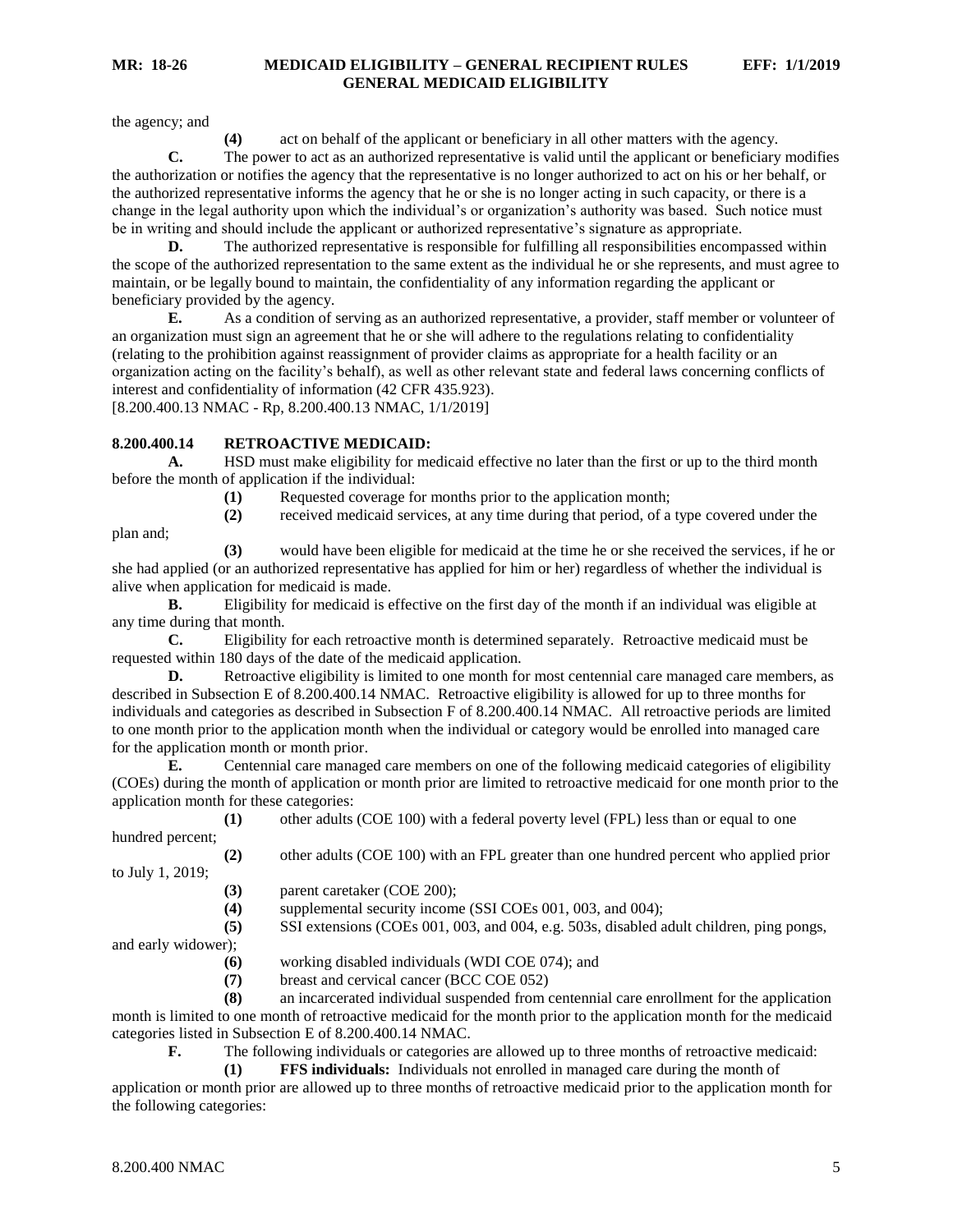the agency; and

**(4)** act on behalf of the applicant or beneficiary in all other matters with the agency.

**C.** The power to act as an authorized representative is valid until the applicant or beneficiary modifies the authorization or notifies the agency that the representative is no longer authorized to act on his or her behalf, or the authorized representative informs the agency that he or she is no longer acting in such capacity, or there is a change in the legal authority upon which the individual's or organization's authority was based. Such notice must be in writing and should include the applicant or authorized representative's signature as appropriate.

**D.** The authorized representative is responsible for fulfilling all responsibilities encompassed within the scope of the authorized representation to the same extent as the individual he or she represents, and must agree to maintain, or be legally bound to maintain, the confidentiality of any information regarding the applicant or beneficiary provided by the agency.

**E.** As a condition of serving as an authorized representative, a provider, staff member or volunteer of an organization must sign an agreement that he or she will adhere to the regulations relating to confidentiality (relating to the prohibition against reassignment of provider claims as appropriate for a health facility or an organization acting on the facility's behalf), as well as other relevant state and federal laws concerning conflicts of interest and confidentiality of information (42 CFR 435.923). [8.200.400.13 NMAC - Rp, 8.200.400.13 NMAC, 1/1/2019]

#### <span id="page-5-0"></span>**8.200.400.14 RETROACTIVE MEDICAID:**

**A.** HSD must make eligibility for medicaid effective no later than the first or up to the third month before the month of application if the individual:

**(1)** Requested coverage for months prior to the application month;

plan and;

**(3)** would have been eligible for medicaid at the time he or she received the services, if he or she had applied (or an authorized representative has applied for him or her) regardless of whether the individual is alive when application for medicaid is made.

**(2)** received medicaid services, at any time during that period, of a type covered under the

**B.** Eligibility for medicaid is effective on the first day of the month if an individual was eligible at any time during that month.

**C.** Eligibility for each retroactive month is determined separately. Retroactive medicaid must be requested within 180 days of the date of the medicaid application.

**D.** Retroactive eligibility is limited to one month for most centennial care managed care members, as described in Subsection E of 8.200.400.14 NMAC. Retroactive eligibility is allowed for up to three months for individuals and categories as described in Subsection F of 8.200.400.14 NMAC. All retroactive periods are limited to one month prior to the application month when the individual or category would be enrolled into managed care for the application month or month prior.

**E.** Centennial care managed care members on one of the following medicaid categories of eligibility (COEs) during the month of application or month prior are limited to retroactive medicaid for one month prior to the application month for these categories:

**(1)** other adults (COE 100) with a federal poverty level (FPL) less than or equal to one hundred percent;

**(2)** other adults (COE 100) with an FPL greater than one hundred percent who applied prior to July 1, 2019;

**(3)** parent caretaker (COE 200);

**(4)** supplemental security income (SSI COEs 001, 003, and 004);

**(5)** SSI extensions (COEs 001, 003, and 004, e.g. 503s, disabled adult children, ping pongs,

and early widower);

- **(6)** working disabled individuals (WDI COE 074); and
- **(7)** breast and cervical cancer (BCC COE 052)

**(8)** an incarcerated individual suspended from centennial care enrollment for the application month is limited to one month of retroactive medicaid for the month prior to the application month for the medicaid categories listed in Subsection E of 8.200.400.14 NMAC.

**F.** The following individuals or categories are allowed up to three months of retroactive medicaid:

**(1) FFS individuals:** Individuals not enrolled in managed care during the month of

application or month prior are allowed up to three months of retroactive medicaid prior to the application month for the following categories: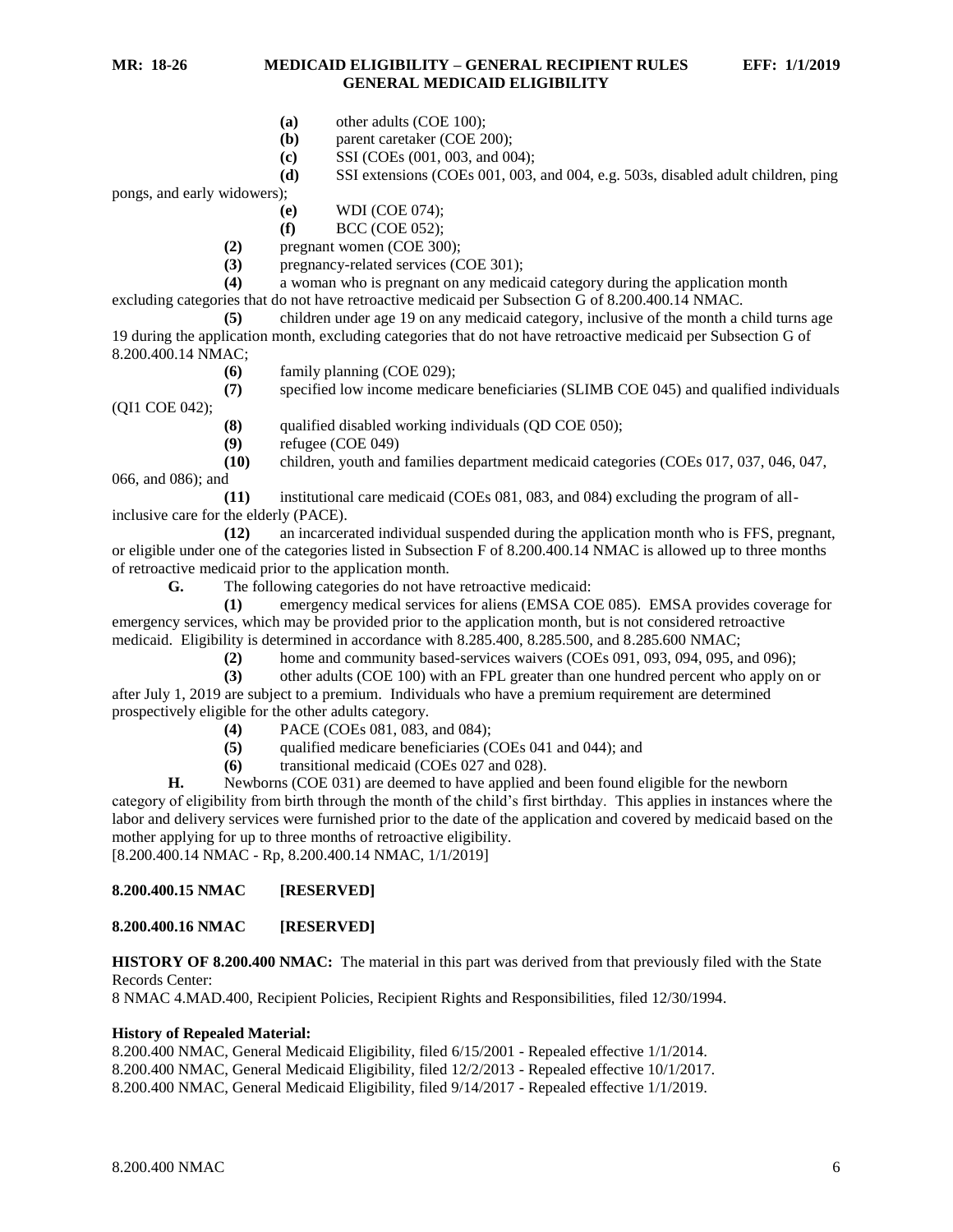- **(a)** other adults (COE 100);
- **(b)** parent caretaker (COE 200);
- **(c)** SSI (COEs (001, 003, and 004);
- **(d)** SSI extensions (COEs 001, 003, and 004, e.g. 503s, disabled adult children, ping

pongs, and early widowers);

- **(e)** WDI (COE 074);
- **(f)** BCC (COE 052);
- **(2)** pregnant women (COE 300);
- **(3)** pregnancy-related services (COE 301);

**(4)** a woman who is pregnant on any medicaid category during the application month excluding categories that do not have retroactive medicaid per Subsection G of 8.200.400.14 NMAC.

**(5)** children under age 19 on any medicaid category, inclusive of the month a child turns age 19 during the application month, excluding categories that do not have retroactive medicaid per Subsection G of 8.200.400.14 NMAC;

**(6)** family planning (COE 029);

**(7)** specified low income medicare beneficiaries (SLIMB COE 045) and qualified individuals

**(8)** qualified disabled working individuals (QD COE 050);

- **(9)** refugee (COE 049)
- **(10)** children, youth and families department medicaid categories (COEs 017, 037, 046, 047,

066, and 086); and

(QI1 COE 042);

**(11)** institutional care medicaid (COEs 081, 083, and 084) excluding the program of allinclusive care for the elderly (PACE).

**(12)** an incarcerated individual suspended during the application month who is FFS, pregnant, or eligible under one of the categories listed in Subsection F of 8.200.400.14 NMAC is allowed up to three months of retroactive medicaid prior to the application month.

**G.** The following categories do not have retroactive medicaid:

**(1)** emergency medical services for aliens (EMSA COE 085). EMSA provides coverage for emergency services, which may be provided prior to the application month, but is not considered retroactive medicaid. Eligibility is determined in accordance with 8.285.400, 8.285.500, and 8.285.600 NMAC;

**(2)** home and community based-services waivers (COEs 091, 093, 094, 095, and 096);

**(3)** other adults (COE 100) with an FPL greater than one hundred percent who apply on or after July 1, 2019 are subject to a premium. Individuals who have a premium requirement are determined prospectively eligible for the other adults category.

- **(4)** PACE (COEs 081, 083, and 084);
- **(5)** qualified medicare beneficiaries (COEs 041 and 044); and
- **(6)** transitional medicaid (COEs 027 and 028).

**H.** Newborns (COE 031) are deemed to have applied and been found eligible for the newborn category of eligibility from birth through the month of the child's first birthday. This applies in instances where the labor and delivery services were furnished prior to the date of the application and covered by medicaid based on the mother applying for up to three months of retroactive eligibility.

[8.200.400.14 NMAC - Rp, 8.200.400.14 NMAC, 1/1/2019]

#### <span id="page-6-0"></span>**8.200.400.15 NMAC [RESERVED]**

#### <span id="page-6-1"></span>**8.200.400.16 NMAC [RESERVED]**

**HISTORY OF 8.200.400 NMAC:** The material in this part was derived from that previously filed with the State Records Center:

8 NMAC 4.MAD.400, Recipient Policies, Recipient Rights and Responsibilities, filed 12/30/1994.

#### **History of Repealed Material:**

8.200.400 NMAC, General Medicaid Eligibility, filed 6/15/2001 - Repealed effective 1/1/2014. 8.200.400 NMAC, General Medicaid Eligibility, filed 12/2/2013 - Repealed effective 10/1/2017. 8.200.400 NMAC, General Medicaid Eligibility, filed 9/14/2017 - Repealed effective 1/1/2019.